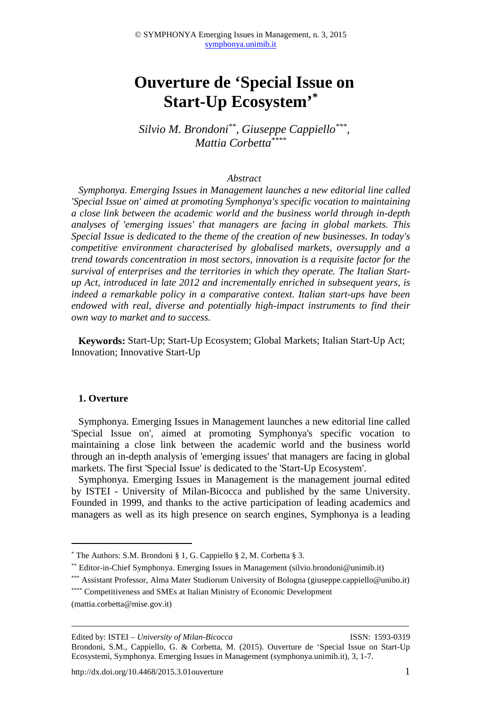# **Ouverture de 'Special Issue on Start-Up Ecosystem'\***

*Silvio M. Brondoni\*\*, Giuseppe Cappiello\*\*\* , Mattia Corbetta\*\*\*\**

#### *Abstract*

*Symphonya. Emerging Issues in Management launches a new editorial line called 'Special Issue on' aimed at promoting Symphonya's specific vocation to maintaining a close link between the academic world and the business world through in-depth analyses of 'emerging issues' that managers are facing in global markets. This Special Issue is dedicated to the theme of the creation of new businesses. In today's competitive environment characterised by globalised markets, oversupply and a trend towards concentration in most sectors, innovation is a requisite factor for the survival of enterprises and the territories in which they operate. The Italian Startup Act, introduced in late 2012 and incrementally enriched in subsequent years, is indeed a remarkable policy in a comparative context. Italian start-ups have been endowed with real, diverse and potentially high-impact instruments to find their own way to market and to success.* 

**Keywords:** Start-Up; Start-Up Ecosystem; Global Markets; Italian Start-Up Act; Innovation; Innovative Start-Up

#### **1. Overture**

 $\overline{a}$ 

Symphonya. Emerging Issues in Management launches a new editorial line called 'Special Issue on', aimed at promoting Symphonya's specific vocation to maintaining a close link between the academic world and the business world through an in-depth analysis of 'emerging issues' that managers are facing in global markets. The first 'Special Issue' is dedicated to the 'Start-Up Ecosystem'.

Symphonya. Emerging Issues in Management is the management journal edited by ISTEI - University of Milan-Bicocca and published by the same University. Founded in 1999, and thanks to the active participation of leading academics and managers as well as its high presence on search engines, Symphonya is a leading

<sup>\*</sup> The Authors: S.M. Brondoni § 1, G. Cappiello § 2, M. Corbetta § 3.

<sup>\*\*</sup> Editor-in-Chief Symphonya. Emerging Issues in Management (silvio.brondoni@unimib.it)

<sup>\*\*\*</sup> Assistant Professor, Alma Mater Studiorum University of Bologna (giuseppe.cappiello@unibo.it)

<sup>\*\*\*\*</sup> Competitiveness and SMEs at Italian Ministry of Economic Development

<sup>(</sup>mattia.corbetta@mise.gov.it)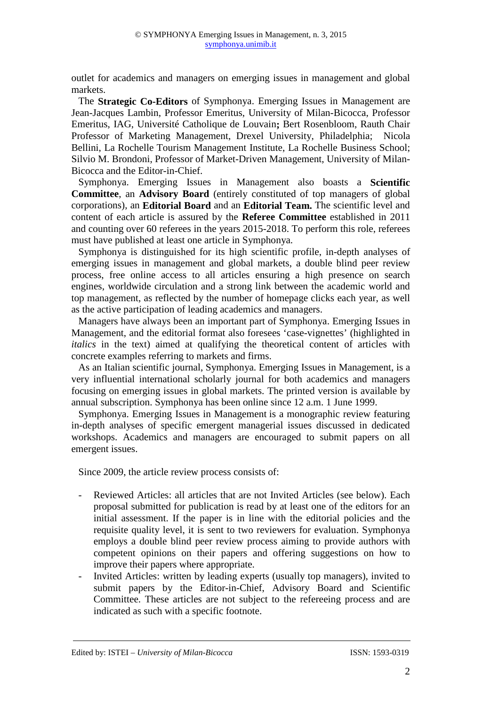outlet for academics and managers on emerging issues in management and global markets.

The **Strategic Co-Editors** of Symphonya. Emerging Issues in Management are Jean-Jacques Lambin, Professor Emeritus, University of Milan-Bicocca, Professor Emeritus, IAG, Université Catholique de Louvain**;** Bert Rosenbloom, Rauth Chair Professor of Marketing Management, Drexel University, Philadelphia; Nicola Bellini, La Rochelle Tourism Management Institute, La Rochelle Business School; Silvio M. Brondoni, Professor of Market-Driven Management, University of Milan-Bicocca and the Editor-in-Chief.

Symphonya. Emerging Issues in Management also boasts a **Scientific Committee**, an **Advisory Board** (entirely constituted of top managers of global corporations), an **Editorial Board** and an **Editorial Team.** The scientific level and content of each article is assured by the **Referee Committee** established in 2011 and counting over 60 referees in the years 2015-2018. To perform this role, referees must have published at least one article in Symphonya.

Symphonya is distinguished for its high scientific profile, in-depth analyses of emerging issues in management and global markets, a double blind peer review process, free online access to all articles ensuring a high presence on search engines, worldwide circulation and a strong link between the academic world and top management, as reflected by the number of homepage clicks each year, as well as the active participation of leading academics and managers.

Managers have always been an important part of Symphonya. Emerging Issues in Management, and the editorial format also foresees 'case-vignettes' (highlighted in *italics* in the text) aimed at qualifying the theoretical content of articles with concrete examples referring to markets and firms.

As an Italian scientific journal, Symphonya. Emerging Issues in Management, is a very influential international scholarly journal for both academics and managers focusing on emerging issues in global markets. The printed version is available by annual subscription. Symphonya has been online since 12 a.m. 1 June 1999.

Symphonya. Emerging Issues in Management is a monographic review featuring in-depth analyses of specific emergent managerial issues discussed in dedicated workshops. Academics and managers are encouraged to submit papers on all emergent issues.

Since 2009, the article review process consists of:

- Reviewed Articles: all articles that are not Invited Articles (see below). Each proposal submitted for publication is read by at least one of the editors for an initial assessment. If the paper is in line with the editorial policies and the requisite quality level, it is sent to two reviewers for evaluation. Symphonya employs a double blind peer review process aiming to provide authors with competent opinions on their papers and offering suggestions on how to improve their papers where appropriate.
- Invited Articles: written by leading experts (usually top managers), invited to submit papers by the Editor-in-Chief, Advisory Board and Scientific Committee. These articles are not subject to the refereeing process and are indicated as such with a specific footnote.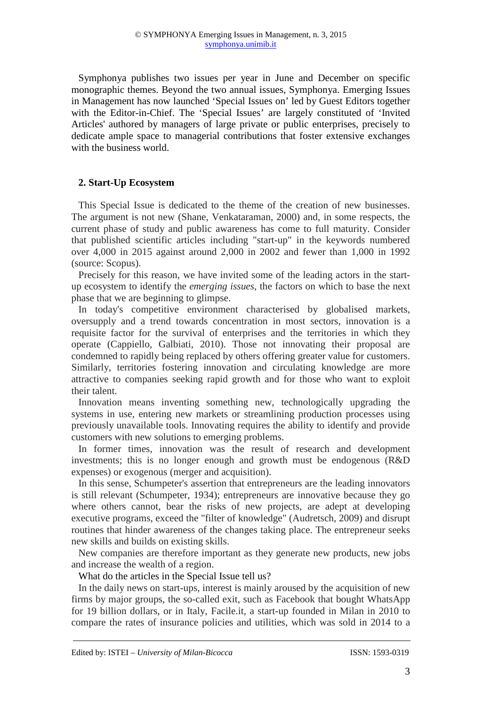Symphonya publishes two issues per year in June and December on specific monographic themes. Beyond the two annual issues, Symphonya. Emerging Issues in Management has now launched 'Special Issues on' led by Guest Editors together with the Editor-in-Chief. The 'Special Issues' are largely constituted of 'Invited Articles' authored by managers of large private or public enterprises, precisely to dedicate ample space to managerial contributions that foster extensive exchanges with the business world.

## **2. Start-Up Ecosystem**

This Special Issue is dedicated to the theme of the creation of new businesses. The argument is not new (Shane, Venkataraman, 2000) and, in some respects, the current phase of study and public awareness has come to full maturity. Consider that published scientific articles including "start-up" in the keywords numbered over 4,000 in 2015 against around 2,000 in 2002 and fewer than 1,000 in 1992 (source: Scopus).

Precisely for this reason, we have invited some of the leading actors in the startup ecosystem to identify the *emerging issues*, the factors on which to base the next phase that we are beginning to glimpse.

In today's competitive environment characterised by globalised markets, oversupply and a trend towards concentration in most sectors, innovation is a requisite factor for the survival of enterprises and the territories in which they operate (Cappiello, Galbiati, 2010). Those not innovating their proposal are condemned to rapidly being replaced by others offering greater value for customers. Similarly, territories fostering innovation and circulating knowledge are more attractive to companies seeking rapid growth and for those who want to exploit their talent.

Innovation means inventing something new, technologically upgrading the systems in use, entering new markets or streamlining production processes using previously unavailable tools. Innovating requires the ability to identify and provide customers with new solutions to emerging problems.

In former times, innovation was the result of research and development investments; this is no longer enough and growth must be endogenous (R&D expenses) or exogenous (merger and acquisition).

In this sense, Schumpeter's assertion that entrepreneurs are the leading innovators is still relevant (Schumpeter, 1934); entrepreneurs are innovative because they go where others cannot, bear the risks of new projects, are adept at developing executive programs, exceed the "filter of knowledge" (Audretsch, 2009) and disrupt routines that hinder awareness of the changes taking place. The entrepreneur seeks new skills and builds on existing skills.

New companies are therefore important as they generate new products, new jobs and increase the wealth of a region.

What do the articles in the Special Issue tell us?

In the daily news on start-ups, interest is mainly aroused by the acquisition of new firms by major groups, the so-called exit, such as Facebook that bought WhatsApp for 19 billion dollars, or in Italy, Facile.it, a start-up founded in Milan in 2010 to compare the rates of insurance policies and utilities, which was sold in 2014 to a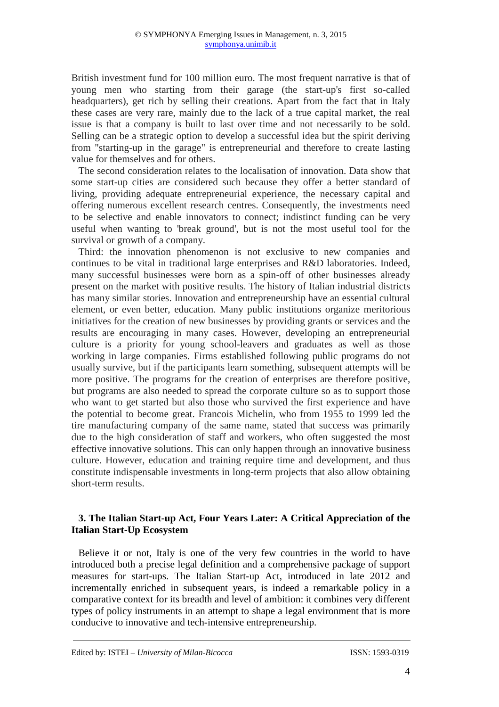British investment fund for 100 million euro. The most frequent narrative is that of young men who starting from their garage (the start-up's first so-called headquarters), get rich by selling their creations. Apart from the fact that in Italy these cases are very rare, mainly due to the lack of a true capital market, the real issue is that a company is built to last over time and not necessarily to be sold. Selling can be a strategic option to develop a successful idea but the spirit deriving from "starting-up in the garage" is entrepreneurial and therefore to create lasting value for themselves and for others.

The second consideration relates to the localisation of innovation. Data show that some start-up cities are considered such because they offer a better standard of living, providing adequate entrepreneurial experience, the necessary capital and offering numerous excellent research centres. Consequently, the investments need to be selective and enable innovators to connect; indistinct funding can be very useful when wanting to 'break ground', but is not the most useful tool for the survival or growth of a company.

Third: the innovation phenomenon is not exclusive to new companies and continues to be vital in traditional large enterprises and R&D laboratories. Indeed, many successful businesses were born as a spin-off of other businesses already present on the market with positive results. The history of Italian industrial districts has many similar stories. Innovation and entrepreneurship have an essential cultural element, or even better, education. Many public institutions organize meritorious initiatives for the creation of new businesses by providing grants or services and the results are encouraging in many cases. However, developing an entrepreneurial culture is a priority for young school-leavers and graduates as well as those working in large companies. Firms established following public programs do not usually survive, but if the participants learn something, subsequent attempts will be more positive. The programs for the creation of enterprises are therefore positive, but programs are also needed to spread the corporate culture so as to support those who want to get started but also those who survived the first experience and have the potential to become great. Francois Michelin, who from 1955 to 1999 led the tire manufacturing company of the same name, stated that success was primarily due to the high consideration of staff and workers, who often suggested the most effective innovative solutions. This can only happen through an innovative business culture. However, education and training require time and development, and thus constitute indispensable investments in long-term projects that also allow obtaining short-term results.

### **3. The Italian Start-up Act, Four Years Later: A Critical Appreciation of the Italian Start-Up Ecosystem**

Believe it or not, Italy is one of the very few countries in the world to have introduced both a precise legal definition and a comprehensive package of support measures for start-ups. The Italian Start-up Act, introduced in late 2012 and incrementally enriched in subsequent years, is indeed a remarkable policy in a comparative context for its breadth and level of ambition: it combines very different types of policy instruments in an attempt to shape a legal environment that is more conducive to innovative and tech-intensive entrepreneurship.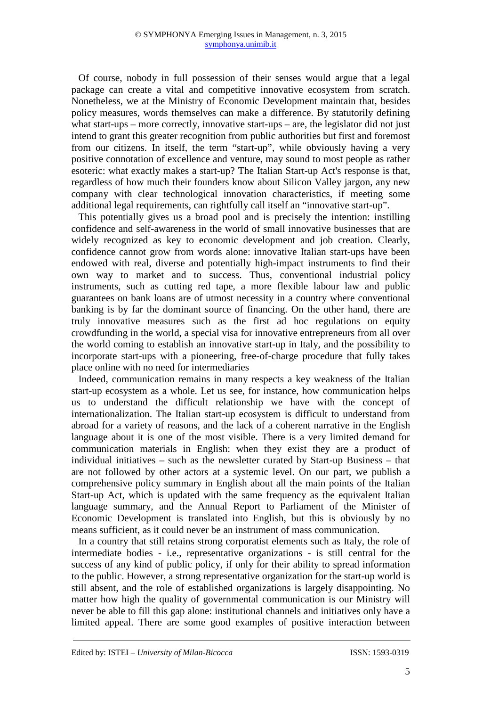Of course, nobody in full possession of their senses would argue that a legal package can create a vital and competitive innovative ecosystem from scratch. Nonetheless, we at the Ministry of Economic Development maintain that, besides policy measures, words themselves can make a difference. By statutorily defining what start-ups – more correctly, innovative start-ups – are, the legislator did not just intend to grant this greater recognition from public authorities but first and foremost from our citizens. In itself, the term "start-up", while obviously having a very positive connotation of excellence and venture, may sound to most people as rather esoteric: what exactly makes a start-up? The Italian Start-up Act's response is that, regardless of how much their founders know about Silicon Valley jargon, any new company with clear technological innovation characteristics, if meeting some additional legal requirements, can rightfully call itself an "innovative start-up".

This potentially gives us a broad pool and is precisely the intention: instilling confidence and self-awareness in the world of small innovative businesses that are widely recognized as key to economic development and job creation. Clearly, confidence cannot grow from words alone: innovative Italian start-ups have been endowed with real, diverse and potentially high-impact instruments to find their own way to market and to success. Thus, conventional industrial policy instruments, such as cutting red tape, a more flexible labour law and public guarantees on bank loans are of utmost necessity in a country where conventional banking is by far the dominant source of financing. On the other hand, there are truly innovative measures such as the first ad hoc regulations on equity crowdfunding in the world, a special visa for innovative entrepreneurs from all over the world coming to establish an innovative start-up in Italy, and the possibility to incorporate start-ups with a pioneering, free-of-charge procedure that fully takes place online with no need for intermediaries

Indeed, communication remains in many respects a key weakness of the Italian start-up ecosystem as a whole. Let us see, for instance, how communication helps us to understand the difficult relationship we have with the concept of internationalization. The Italian start-up ecosystem is difficult to understand from abroad for a variety of reasons, and the lack of a coherent narrative in the English language about it is one of the most visible. There is a very limited demand for communication materials in English: when they exist they are a product of individual initiatives – such as the newsletter curated by Start-up Business – that are not followed by other actors at a systemic level. On our part, we publish a comprehensive policy summary in English about all the main points of the Italian Start-up Act, which is updated with the same frequency as the equivalent Italian language summary, and the Annual Report to Parliament of the Minister of Economic Development is translated into English, but this is obviously by no means sufficient, as it could never be an instrument of mass communication.

In a country that still retains strong corporatist elements such as Italy, the role of intermediate bodies - i.e., representative organizations - is still central for the success of any kind of public policy, if only for their ability to spread information to the public. However, a strong representative organization for the start-up world is still absent, and the role of established organizations is largely disappointing. No matter how high the quality of governmental communication is our Ministry will never be able to fill this gap alone: institutional channels and initiatives only have a limited appeal. There are some good examples of positive interaction between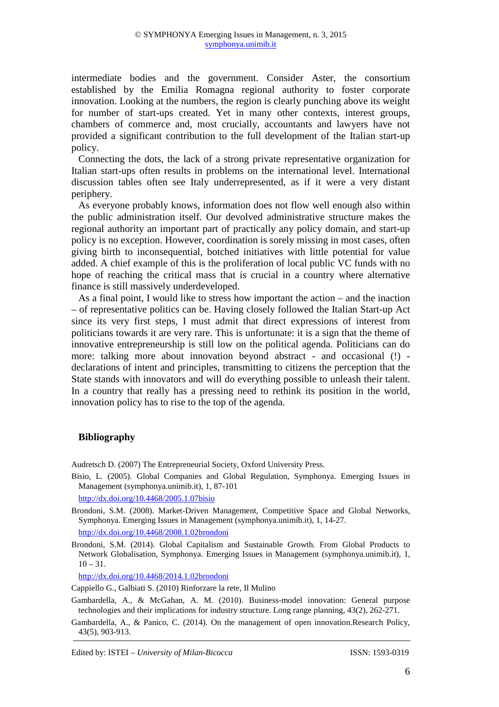intermediate bodies and the government. Consider Aster, the consortium established by the Emilia Romagna regional authority to foster corporate innovation. Looking at the numbers, the region is clearly punching above its weight for number of start-ups created. Yet in many other contexts, interest groups, chambers of commerce and, most crucially, accountants and lawyers have not provided a significant contribution to the full development of the Italian start-up policy.

Connecting the dots, the lack of a strong private representative organization for Italian start-ups often results in problems on the international level. International discussion tables often see Italy underrepresented, as if it were a very distant periphery.

As everyone probably knows, information does not flow well enough also within the public administration itself. Our devolved administrative structure makes the regional authority an important part of practically any policy domain, and start-up policy is no exception. However, coordination is sorely missing in most cases, often giving birth to inconsequential, botched initiatives with little potential for value added. A chief example of this is the proliferation of local public VC funds with no hope of reaching the critical mass that is crucial in a country where alternative finance is still massively underdeveloped.

As a final point, I would like to stress how important the action – and the inaction – of representative politics can be. Having closely followed the Italian Start-up Act since its very first steps, I must admit that direct expressions of interest from politicians towards it are very rare. This is unfortunate: it is a sign that the theme of innovative entrepreneurship is still low on the political agenda. Politicians can do more: talking more about innovation beyond abstract - and occasional (!) declarations of intent and principles, transmitting to citizens the perception that the State stands with innovators and will do everything possible to unleash their talent. In a country that really has a pressing need to rethink its position in the world, innovation policy has to rise to the top of the agenda.

## **Bibliography**

Audretsch D. (2007) The Entrepreneurial Society, Oxford University Press.

Bisio, L. (2005). Global Companies and Global Regulation, Symphonya. Emerging Issues in Management (symphonya.unimib.it), 1, 87-101

http://dx.doi.org/10.4468/2005.1.07bisio

Brondoni, S.M. (2008). Market-Driven Management, Competitive Space and Global Networks, Symphonya. Emerging Issues in Management (symphonya.unimib.it), 1, 14-27. http://dx.doi.org/10.4468/2008.1.02brondoni

Brondoni, S.M. (2014). Global Capitalism and Sustainable Growth. From Global Products to Network Globalisation, Symphonya. Emerging Issues in Management (symphonya.unimib.it), 1,  $10 - 31.$ 

http://dx.doi.org/10.4468/2014.1.02brondoni

Cappiello G., Galbiati S. (2010) Rinforzare la rete, Il Mulino

Gambardella, A., & Panico, C. (2014). On the management of open innovation.Research Policy, 43(5), 903-913.

Gambardella, A., & McGahan, A. M. (2010). Business-model innovation: General purpose technologies and their implications for industry structure. Long range planning, 43(2), 262-271.